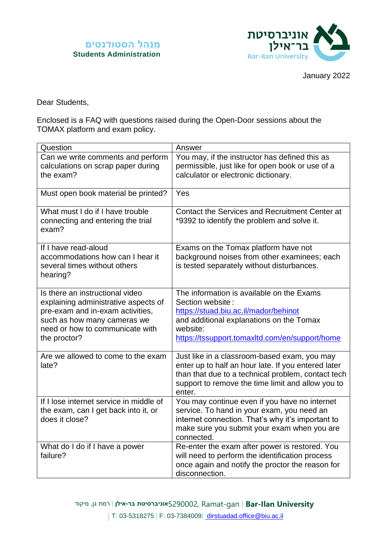



January 2022

Dear Students,

Enclosed is a FAQ with questions raised during the Open-Door sessions about the TOMAX platform and exam policy.

| Question                                                                                                                                                                                      | Answer                                                                                                                                                                                                                   |
|-----------------------------------------------------------------------------------------------------------------------------------------------------------------------------------------------|--------------------------------------------------------------------------------------------------------------------------------------------------------------------------------------------------------------------------|
| Can we write comments and perform<br>calculations on scrap paper during<br>the exam?                                                                                                          | You may, if the instructor has defined this as<br>permissible, just like for open book or use of a<br>calculator or electronic dictionary.                                                                               |
| Must open book material be printed?                                                                                                                                                           | Yes                                                                                                                                                                                                                      |
| What must I do if I have trouble<br>connecting and entering the trial<br>exam?                                                                                                                | Contact the Services and Recruitment Center at<br>*9392 to identify the problem and solve it.                                                                                                                            |
| If I have read-aloud<br>accommodations how can I hear it<br>several times without others<br>hearing?                                                                                          | Exams on the Tomax platform have not<br>background noises from other examinees; each<br>is tested separately without disturbances.                                                                                       |
| Is there an instructional video<br>explaining administrative aspects of<br>pre-exam and in-exam activities,<br>such as how many cameras we<br>need or how to communicate with<br>the proctor? | The information is available on the Exams<br>Section website:<br>https://stuad.biu.ac.il/mador/behinot<br>and additional explanations on the Tomax<br>website:<br>https://tssupport.tomaxltd.com/en/support/home         |
| Are we allowed to come to the exam<br>late?                                                                                                                                                   | Just like in a classroom-based exam, you may<br>enter up to half an hour late. If you entered later<br>than that due to a technical problem, contact tech<br>support to remove the time limit and allow you to<br>enter. |
| If I lose internet service in middle of<br>the exam, can I get back into it, or<br>does it close?                                                                                             | You may continue even if you have no internet<br>service. To hand in your exam, you need an<br>internet connection. That's why it's important to<br>make sure you submit your exam when you are<br>connected.            |
| What do I do if I have a power<br>failure?                                                                                                                                                    | Re-enter the exam after power is restored. You<br>will need to perform the identification process<br>once again and notify the proctor the reason for<br>disconnection.                                                  |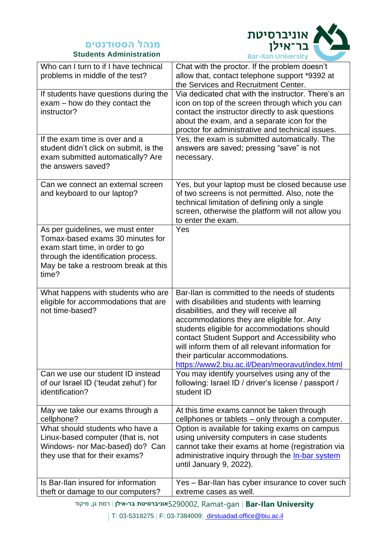#### **Students Administration**



|                                                                                                                                                                                                 | <b>Bar-Itan University</b>                                                                                                                                                                                                                                                                                                                                                                                                        |
|-------------------------------------------------------------------------------------------------------------------------------------------------------------------------------------------------|-----------------------------------------------------------------------------------------------------------------------------------------------------------------------------------------------------------------------------------------------------------------------------------------------------------------------------------------------------------------------------------------------------------------------------------|
| Who can I turn to if I have technical<br>problems in middle of the test?                                                                                                                        | Chat with the proctor. If the problem doesn't<br>allow that, contact telephone support *9392 at<br>the Services and Recruitment Center.                                                                                                                                                                                                                                                                                           |
| If students have questions during the<br>$exam - how do they contact the$<br>instructor?                                                                                                        | Via dedicated chat with the instructor. There's an<br>icon on top of the screen through which you can<br>contact the instructor directly to ask questions<br>about the exam, and a separate icon for the<br>proctor for administrative and technical issues.                                                                                                                                                                      |
| If the exam time is over and a<br>student didn't click on submit, is the<br>exam submitted automatically? Are<br>the answers saved?                                                             | Yes, the exam is submitted automatically. The<br>answers are saved; pressing "save" is not<br>necessary.                                                                                                                                                                                                                                                                                                                          |
| Can we connect an external screen<br>and keyboard to our laptop?                                                                                                                                | Yes, but your laptop must be closed because use<br>of two screens is not permitted. Also, note the<br>technical limitation of defining only a single<br>screen, otherwise the platform will not allow you<br>to enter the exam.                                                                                                                                                                                                   |
| As per guidelines, we must enter<br>Tomax-based exams 30 minutes for<br>exam start time, in order to go<br>through the identification process.<br>May be take a restroom break at this<br>time? | Yes                                                                                                                                                                                                                                                                                                                                                                                                                               |
| What happens with students who are<br>eligible for accommodations that are<br>not time-based?                                                                                                   | Bar-Ilan is committed to the needs of students<br>with disabilities and students with learning<br>disabilities, and they will receive all<br>accommodations they are eligible for. Any<br>students eligible for accommodations should<br>contact Student Support and Accessibility who<br>will inform them of all relevant information for<br>their particular accommodations.<br>https://www2.biu.ac.il/Dean/meoravut/index.html |
| Can we use our student ID instead<br>of our Israel ID ('teudat zehut') for<br>identification?                                                                                                   | You may identify yourselves using any of the<br>following: Israel ID / driver's license / passport /<br>student ID                                                                                                                                                                                                                                                                                                                |
| May we take our exams through a<br>cellphone?                                                                                                                                                   | At this time exams cannot be taken through<br>cellphones or tablets - only through a computer.                                                                                                                                                                                                                                                                                                                                    |
| What should students who have a<br>Linux-based computer (that is, not<br>Windows- nor Mac-based) do? Can<br>they use that for their exams?                                                      | Option is available for taking exams on campus<br>using university computers in case students<br>cannot take their exams at home (registration via<br>administrative inquiry through the In-bar system<br>until January 9, 2022).                                                                                                                                                                                                 |
| Is Bar-Ilan insured for information<br>theft or damage to our computers?                                                                                                                        | Yes - Bar-Ilan has cyber insurance to cover such<br>extreme cases as well.                                                                                                                                                                                                                                                                                                                                                        |

| T: 03-5318275 | F: 03-7384009| [dirstuadad.office@biu.ac.il](mailto:%20dirstuadad.office@biu.ac.il)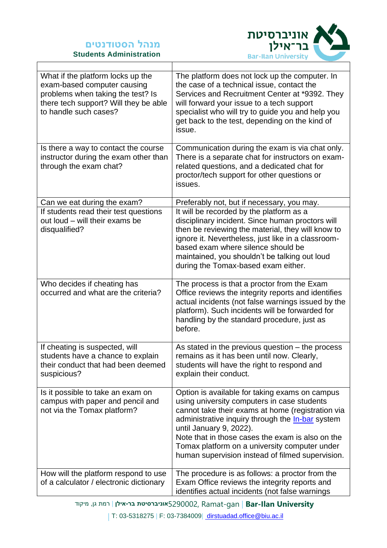



| What if the platform locks up the<br>exam-based computer causing<br>problems when taking the test? Is<br>there tech support? Will they be able<br>to handle such cases? | The platform does not lock up the computer. In<br>the case of a technical issue, contact the<br>Services and Recruitment Center at *9392. They<br>will forward your issue to a tech support<br>specialist who will try to guide you and help you<br>get back to the test, depending on the kind of<br>issue.                                                                               |  |
|-------------------------------------------------------------------------------------------------------------------------------------------------------------------------|--------------------------------------------------------------------------------------------------------------------------------------------------------------------------------------------------------------------------------------------------------------------------------------------------------------------------------------------------------------------------------------------|--|
| Is there a way to contact the course<br>instructor during the exam other than<br>through the exam chat?                                                                 | Communication during the exam is via chat only.<br>There is a separate chat for instructors on exam-<br>related questions, and a dedicated chat for<br>proctor/tech support for other questions or<br>issues.                                                                                                                                                                              |  |
| Can we eat during the exam?                                                                                                                                             | Preferably not, but if necessary, you may.                                                                                                                                                                                                                                                                                                                                                 |  |
| If students read their test questions<br>out loud - will their exams be<br>disqualified?                                                                                | It will be recorded by the platform as a<br>disciplinary incident. Since human proctors will<br>then be reviewing the material, they will know to<br>ignore it. Nevertheless, just like in a classroom-<br>based exam where silence should be<br>maintained, you shouldn't be talking out loud<br>during the Tomax-based exam either.                                                      |  |
| Who decides if cheating has<br>occurred and what are the criteria?                                                                                                      | The process is that a proctor from the Exam<br>Office reviews the integrity reports and identifies<br>actual incidents (not false warnings issued by the<br>platform). Such incidents will be forwarded for<br>handling by the standard procedure, just as<br>before.                                                                                                                      |  |
| If cheating is suspected, will<br>students have a chance to explain<br>their conduct that had been deemed<br>suspicious?                                                | As stated in the previous question - the process<br>remains as it has been until now. Clearly,<br>students will have the right to respond and<br>explain their conduct.                                                                                                                                                                                                                    |  |
| Is it possible to take an exam on<br>campus with paper and pencil and<br>not via the Tomax platform?                                                                    | Option is available for taking exams on campus<br>using university computers in case students<br>cannot take their exams at home (registration via<br>administrative inquiry through the In-bar system<br>until January 9, 2022).<br>Note that in those cases the exam is also on the<br>Tomax platform on a university computer under<br>human supervision instead of filmed supervision. |  |
| How will the platform respond to use<br>of a calculator / electronic dictionary                                                                                         | The procedure is as follows: a proctor from the<br>Exam Office reviews the integrity reports and<br>identifies actual incidents (not false warnings                                                                                                                                                                                                                                        |  |
|                                                                                                                                                                         |                                                                                                                                                                                                                                                                                                                                                                                            |  |

**University Ilan-Bar** | gan-Ramat 5290002,**אוניברסיטת בר- אילן** | רמת גן, מיקוד

| T: 03-5318275 | F: 03-7384009| [dirstuadad.office@biu.ac.il](mailto:%20dirstuadad.office@biu.ac.il)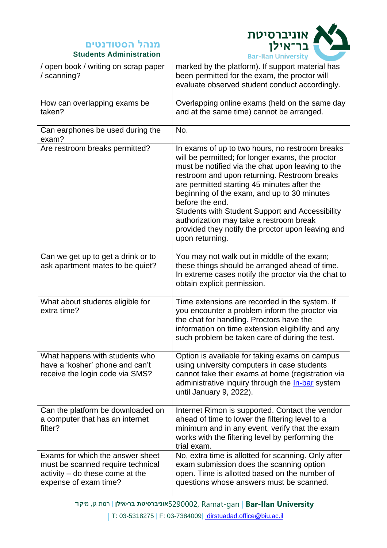



| / open book / writing on scrap paper<br>/ scanning?                                                                               | וטורוט ווערודע וואטר<br>marked by the platform). If support material has<br>been permitted for the exam, the proctor will<br>evaluate observed student conduct accordingly.                                                                                                                                                                                                                                                                                                                     |
|-----------------------------------------------------------------------------------------------------------------------------------|-------------------------------------------------------------------------------------------------------------------------------------------------------------------------------------------------------------------------------------------------------------------------------------------------------------------------------------------------------------------------------------------------------------------------------------------------------------------------------------------------|
| How can overlapping exams be<br>taken?                                                                                            | Overlapping online exams (held on the same day<br>and at the same time) cannot be arranged.                                                                                                                                                                                                                                                                                                                                                                                                     |
| Can earphones be used during the<br>exam?                                                                                         | No.                                                                                                                                                                                                                                                                                                                                                                                                                                                                                             |
| Are restroom breaks permitted?                                                                                                    | In exams of up to two hours, no restroom breaks<br>will be permitted; for longer exams, the proctor<br>must be notified via the chat upon leaving to the<br>restroom and upon returning. Restroom breaks<br>are permitted starting 45 minutes after the<br>beginning of the exam, and up to 30 minutes<br>before the end.<br>Students with Student Support and Accessibility<br>authorization may take a restroom break<br>provided they notify the proctor upon leaving and<br>upon returning. |
| Can we get up to get a drink or to<br>ask apartment mates to be quiet?                                                            | You may not walk out in middle of the exam;<br>these things should be arranged ahead of time.<br>In extreme cases notify the proctor via the chat to<br>obtain explicit permission.                                                                                                                                                                                                                                                                                                             |
| What about students eligible for<br>extra time?                                                                                   | Time extensions are recorded in the system. If<br>you encounter a problem inform the proctor via<br>the chat for handling. Proctors have the<br>information on time extension eligibility and any<br>such problem be taken care of during the test.                                                                                                                                                                                                                                             |
| What happens with students who<br>have a 'kosher' phone and can't<br>receive the login code via SMS?                              | Option is available for taking exams on campus<br>using university computers in case students<br>cannot take their exams at home (registration via<br>administrative inquiry through the In-bar system<br>until January 9, 2022).                                                                                                                                                                                                                                                               |
| Can the platform be downloaded on<br>a computer that has an internet<br>filter?                                                   | Internet Rimon is supported. Contact the vendor<br>ahead of time to lower the filtering level to a<br>minimum and in any event, verify that the exam<br>works with the filtering level by performing the<br>trial exam.                                                                                                                                                                                                                                                                         |
| Exams for which the answer sheet<br>must be scanned require technical<br>activity – do these come at the<br>expense of exam time? | No, extra time is allotted for scanning. Only after<br>exam submission does the scanning option<br>open. Time is allotted based on the number of<br>questions whose answers must be scanned.                                                                                                                                                                                                                                                                                                    |